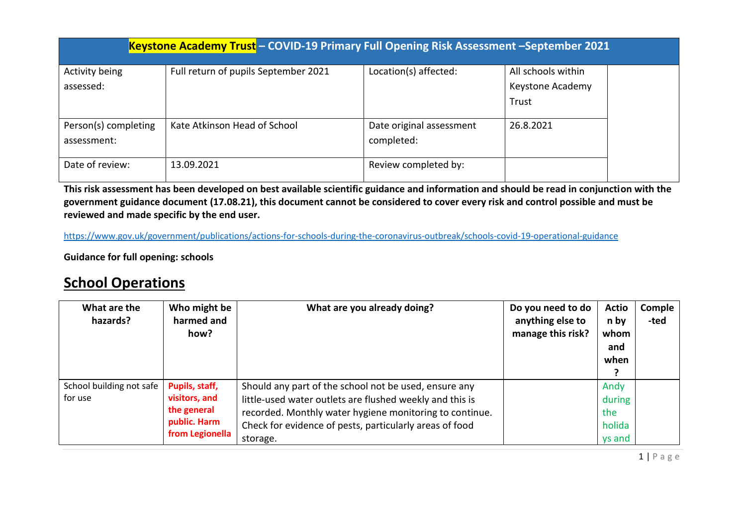| Keystone Academy Trust - COVID-19 Primary Full Opening Risk Assessment -September 2021 |                                      |                          |                    |  |  |  |  |
|----------------------------------------------------------------------------------------|--------------------------------------|--------------------------|--------------------|--|--|--|--|
| Activity being                                                                         | Full return of pupils September 2021 | Location(s) affected:    | All schools within |  |  |  |  |
| assessed:                                                                              |                                      |                          | Keystone Academy   |  |  |  |  |
|                                                                                        |                                      |                          | Trust              |  |  |  |  |
|                                                                                        |                                      |                          |                    |  |  |  |  |
| Person(s) completing                                                                   | Kate Atkinson Head of School         | Date original assessment | 26.8.2021          |  |  |  |  |
| assessment:                                                                            |                                      | completed:               |                    |  |  |  |  |
|                                                                                        |                                      |                          |                    |  |  |  |  |
| Date of review:                                                                        | 13.09.2021                           | Review completed by:     |                    |  |  |  |  |

**This risk assessment has been developed on best available scientific guidance and information and should be read in conjunction with the government guidance document (17.08.21), this document cannot be considered to cover every risk and control possible and must be reviewed and made specific by the end user.** 

<https://www.gov.uk/government/publications/actions-for-schools-during-the-coronavirus-outbreak/schools-covid-19-operational-guidance>

**Guidance for full opening: schools**

## **School Operations**

| What are the<br>hazards?            | Who might be<br>harmed and<br>how?                                                | What are you already doing?                                                                                                                                                                                                                         | Do you need to do<br>anything else to<br>manage this risk? | <b>Actio</b><br>n by<br>whom<br>and<br>when | Comple<br>-ted |
|-------------------------------------|-----------------------------------------------------------------------------------|-----------------------------------------------------------------------------------------------------------------------------------------------------------------------------------------------------------------------------------------------------|------------------------------------------------------------|---------------------------------------------|----------------|
| School building not safe<br>for use | Pupils, staff,<br>visitors, and<br>the general<br>public. Harm<br>from Legionella | Should any part of the school not be used, ensure any<br>little-used water outlets are flushed weekly and this is<br>recorded. Monthly water hygiene monitoring to continue.<br>Check for evidence of pests, particularly areas of food<br>storage. |                                                            | Andy<br>during<br>the<br>holida<br>ys and   |                |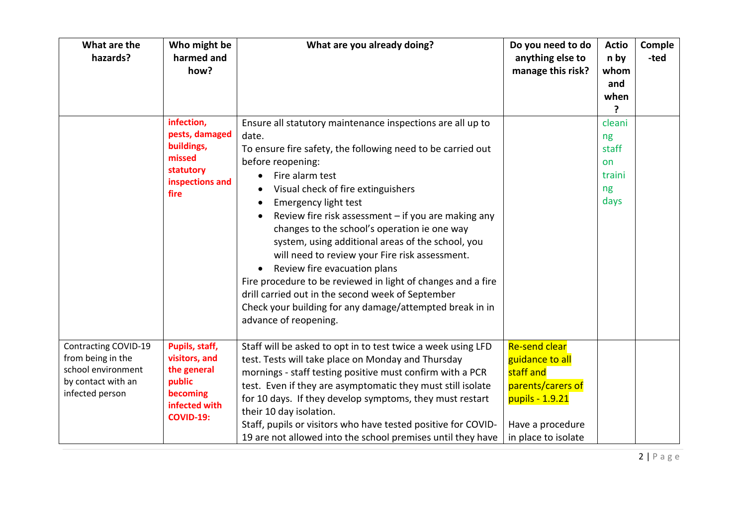| What are the<br>hazards?                                                                                 | Who might be<br>harmed and<br>how?                                                                        | What are you already doing?                                                                                                                                                                                                                                                                                                                                                                                                                                                                                                                                                                                                                                                                                                       | Do you need to do<br>anything else to<br>manage this risk?                                                                              | <b>Actio</b><br>n by<br>whom<br>and<br>when<br>7    | Comple<br>-ted |
|----------------------------------------------------------------------------------------------------------|-----------------------------------------------------------------------------------------------------------|-----------------------------------------------------------------------------------------------------------------------------------------------------------------------------------------------------------------------------------------------------------------------------------------------------------------------------------------------------------------------------------------------------------------------------------------------------------------------------------------------------------------------------------------------------------------------------------------------------------------------------------------------------------------------------------------------------------------------------------|-----------------------------------------------------------------------------------------------------------------------------------------|-----------------------------------------------------|----------------|
|                                                                                                          | infection,<br>pests, damaged<br>buildings,<br>missed<br>statutory<br>inspections and<br>fire              | Ensure all statutory maintenance inspections are all up to<br>date.<br>To ensure fire safety, the following need to be carried out<br>before reopening:<br>Fire alarm test<br>$\bullet$<br>Visual check of fire extinguishers<br><b>Emergency light test</b><br>Review fire risk assessment - if you are making any<br>changes to the school's operation ie one way<br>system, using additional areas of the school, you<br>will need to review your Fire risk assessment.<br>Review fire evacuation plans<br>$\bullet$<br>Fire procedure to be reviewed in light of changes and a fire<br>drill carried out in the second week of September<br>Check your building for any damage/attempted break in in<br>advance of reopening. |                                                                                                                                         | cleani<br>ng<br>staff<br>on<br>traini<br>ng<br>days |                |
| Contracting COVID-19<br>from being in the<br>school environment<br>by contact with an<br>infected person | Pupils, staff,<br>visitors, and<br>the general<br>public<br>becoming<br>infected with<br><b>COVID-19:</b> | Staff will be asked to opt in to test twice a week using LFD<br>test. Tests will take place on Monday and Thursday<br>mornings - staff testing positive must confirm with a PCR<br>test. Even if they are asymptomatic they must still isolate<br>for 10 days. If they develop symptoms, they must restart<br>their 10 day isolation.<br>Staff, pupils or visitors who have tested positive for COVID-<br>19 are not allowed into the school premises until they have                                                                                                                                                                                                                                                             | <b>Re-send clear</b><br>guidance to all<br>staff and<br>parents/carers of<br>pupils - 1.9.21<br>Have a procedure<br>in place to isolate |                                                     |                |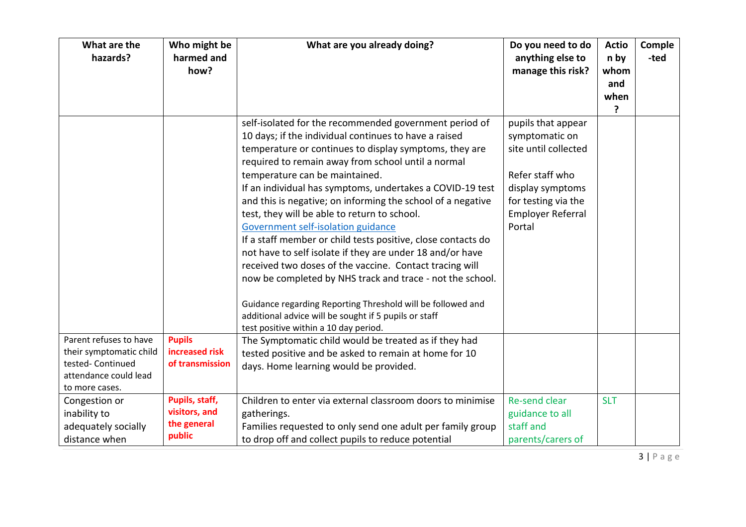| What are the<br>hazards?                                                                | Who might be<br>harmed and<br>how?                       | What are you already doing?                                                                                                                                                                                                                                                                                                                                                                                                                                                                                                                                                                                                                                                                                                                                                                                                                                                                                                                                        | Do you need to do<br>anything else to<br>manage this risk?                                                                                                       | <b>Actio</b><br>n by<br>whom | Comple<br>-ted |
|-----------------------------------------------------------------------------------------|----------------------------------------------------------|--------------------------------------------------------------------------------------------------------------------------------------------------------------------------------------------------------------------------------------------------------------------------------------------------------------------------------------------------------------------------------------------------------------------------------------------------------------------------------------------------------------------------------------------------------------------------------------------------------------------------------------------------------------------------------------------------------------------------------------------------------------------------------------------------------------------------------------------------------------------------------------------------------------------------------------------------------------------|------------------------------------------------------------------------------------------------------------------------------------------------------------------|------------------------------|----------------|
|                                                                                         |                                                          |                                                                                                                                                                                                                                                                                                                                                                                                                                                                                                                                                                                                                                                                                                                                                                                                                                                                                                                                                                    |                                                                                                                                                                  | and<br>when<br>?             |                |
| Parent refuses to have                                                                  | <b>Pupils</b>                                            | self-isolated for the recommended government period of<br>10 days; if the individual continues to have a raised<br>temperature or continues to display symptoms, they are<br>required to remain away from school until a normal<br>temperature can be maintained.<br>If an individual has symptoms, undertakes a COVID-19 test<br>and this is negative; on informing the school of a negative<br>test, they will be able to return to school.<br>Government self-isolation guidance<br>If a staff member or child tests positive, close contacts do<br>not have to self isolate if they are under 18 and/or have<br>received two doses of the vaccine. Contact tracing will<br>now be completed by NHS track and trace - not the school.<br>Guidance regarding Reporting Threshold will be followed and<br>additional advice will be sought if 5 pupils or staff<br>test positive within a 10 day period.<br>The Symptomatic child would be treated as if they had | pupils that appear<br>symptomatic on<br>site until collected<br>Refer staff who<br>display symptoms<br>for testing via the<br><b>Employer Referral</b><br>Portal |                              |                |
| their symptomatic child<br>tested- Continued<br>attendance could lead<br>to more cases. | increased risk<br>of transmission                        | tested positive and be asked to remain at home for 10<br>days. Home learning would be provided.                                                                                                                                                                                                                                                                                                                                                                                                                                                                                                                                                                                                                                                                                                                                                                                                                                                                    |                                                                                                                                                                  |                              |                |
| Congestion or<br>inability to<br>adequately socially<br>distance when                   | Pupils, staff,<br>visitors, and<br>the general<br>public | Children to enter via external classroom doors to minimise<br>gatherings.<br>Families requested to only send one adult per family group<br>to drop off and collect pupils to reduce potential                                                                                                                                                                                                                                                                                                                                                                                                                                                                                                                                                                                                                                                                                                                                                                      | Re-send clear<br>guidance to all<br>staff and<br>parents/carers of                                                                                               | <b>SLT</b>                   |                |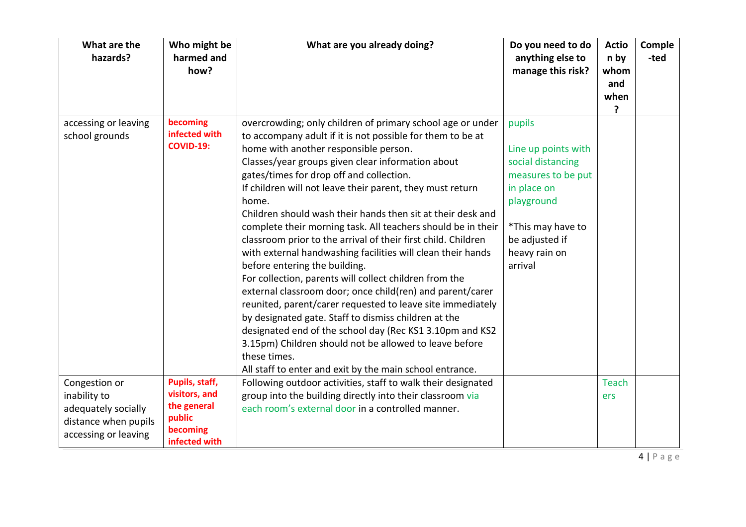| What are the<br>hazards?                                                                             | Who might be<br>harmed and<br>how?                                                    | What are you already doing?                                                                                                                                                                                                                                                                                                                                                                                                                                                                                                                                                                                                                                                                                                                                                                                                                                                                                                                                                                                                                                                             | Do you need to do<br>anything else to<br>manage this risk?                                                                                                               | <b>Actio</b><br>n by<br>whom<br>and<br>when<br>? | Comple<br>-ted |
|------------------------------------------------------------------------------------------------------|---------------------------------------------------------------------------------------|-----------------------------------------------------------------------------------------------------------------------------------------------------------------------------------------------------------------------------------------------------------------------------------------------------------------------------------------------------------------------------------------------------------------------------------------------------------------------------------------------------------------------------------------------------------------------------------------------------------------------------------------------------------------------------------------------------------------------------------------------------------------------------------------------------------------------------------------------------------------------------------------------------------------------------------------------------------------------------------------------------------------------------------------------------------------------------------------|--------------------------------------------------------------------------------------------------------------------------------------------------------------------------|--------------------------------------------------|----------------|
| accessing or leaving<br>school grounds                                                               | becoming<br>infected with<br><b>COVID-19:</b>                                         | overcrowding; only children of primary school age or under<br>to accompany adult if it is not possible for them to be at<br>home with another responsible person.<br>Classes/year groups given clear information about<br>gates/times for drop off and collection.<br>If children will not leave their parent, they must return<br>home.<br>Children should wash their hands then sit at their desk and<br>complete their morning task. All teachers should be in their<br>classroom prior to the arrival of their first child. Children<br>with external handwashing facilities will clean their hands<br>before entering the building.<br>For collection, parents will collect children from the<br>external classroom door; once child(ren) and parent/carer<br>reunited, parent/carer requested to leave site immediately<br>by designated gate. Staff to dismiss children at the<br>designated end of the school day (Rec KS1 3.10pm and KS2<br>3.15pm) Children should not be allowed to leave before<br>these times.<br>All staff to enter and exit by the main school entrance. | pupils<br>Line up points with<br>social distancing<br>measures to be put<br>in place on<br>playground<br>*This may have to<br>be adjusted if<br>heavy rain on<br>arrival |                                                  |                |
| Congestion or<br>inability to<br>adequately socially<br>distance when pupils<br>accessing or leaving | Pupils, staff,<br>visitors, and<br>the general<br>public<br>becoming<br>infected with | Following outdoor activities, staff to walk their designated<br>group into the building directly into their classroom via<br>each room's external door in a controlled manner.                                                                                                                                                                                                                                                                                                                                                                                                                                                                                                                                                                                                                                                                                                                                                                                                                                                                                                          |                                                                                                                                                                          | <b>Teach</b><br>ers                              |                |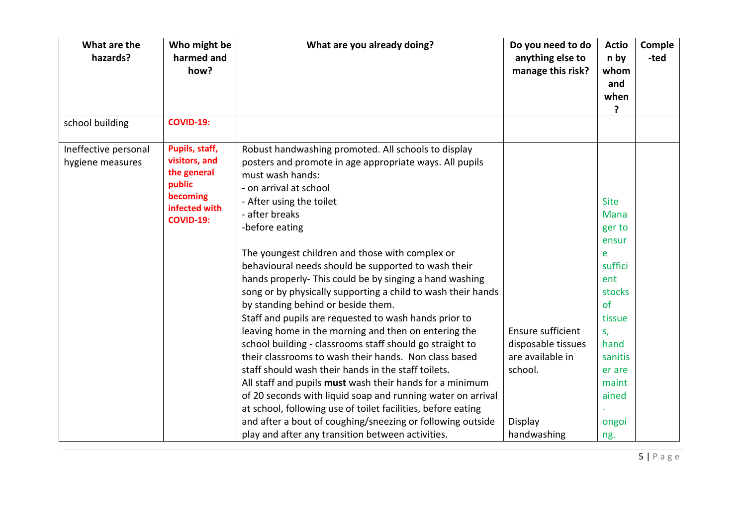| What are the<br>hazards?                 | Who might be<br>harmed and<br>how?                                                                        | What are you already doing?                                                                                                                                                                                                                                                                                                                                                                                                                                                                                                                                                                                                                                                                                                                                                                                                                                                                                                                                                                                                                                   | Do you need to do<br>anything else to<br>manage this risk?                        | <b>Actio</b><br>n by<br>whom<br>and<br>when<br>?                                                                                                             | Comple<br>-ted |
|------------------------------------------|-----------------------------------------------------------------------------------------------------------|---------------------------------------------------------------------------------------------------------------------------------------------------------------------------------------------------------------------------------------------------------------------------------------------------------------------------------------------------------------------------------------------------------------------------------------------------------------------------------------------------------------------------------------------------------------------------------------------------------------------------------------------------------------------------------------------------------------------------------------------------------------------------------------------------------------------------------------------------------------------------------------------------------------------------------------------------------------------------------------------------------------------------------------------------------------|-----------------------------------------------------------------------------------|--------------------------------------------------------------------------------------------------------------------------------------------------------------|----------------|
| school building                          | <b>COVID-19:</b>                                                                                          |                                                                                                                                                                                                                                                                                                                                                                                                                                                                                                                                                                                                                                                                                                                                                                                                                                                                                                                                                                                                                                                               |                                                                                   |                                                                                                                                                              |                |
| Ineffective personal<br>hygiene measures | Pupils, staff,<br>visitors, and<br>the general<br>public<br>becoming<br>infected with<br><b>COVID-19:</b> | Robust handwashing promoted. All schools to display<br>posters and promote in age appropriate ways. All pupils<br>must wash hands:<br>- on arrival at school<br>- After using the toilet<br>- after breaks<br>-before eating<br>The youngest children and those with complex or<br>behavioural needs should be supported to wash their<br>hands properly- This could be by singing a hand washing<br>song or by physically supporting a child to wash their hands<br>by standing behind or beside them.<br>Staff and pupils are requested to wash hands prior to<br>leaving home in the morning and then on entering the<br>school building - classrooms staff should go straight to<br>their classrooms to wash their hands. Non class based<br>staff should wash their hands in the staff toilets.<br>All staff and pupils must wash their hands for a minimum<br>of 20 seconds with liquid soap and running water on arrival<br>at school, following use of toilet facilities, before eating<br>and after a bout of coughing/sneezing or following outside | Ensure sufficient<br>disposable tissues<br>are available in<br>school.<br>Display | <b>Site</b><br><b>Mana</b><br>ger to<br>ensur<br>e<br>suffici<br>ent<br>stocks<br>of<br>tissue<br>S,<br>hand<br>sanitis<br>er are<br>maint<br>ained<br>ongoi |                |
|                                          |                                                                                                           | play and after any transition between activities.                                                                                                                                                                                                                                                                                                                                                                                                                                                                                                                                                                                                                                                                                                                                                                                                                                                                                                                                                                                                             | handwashing                                                                       | ng.                                                                                                                                                          |                |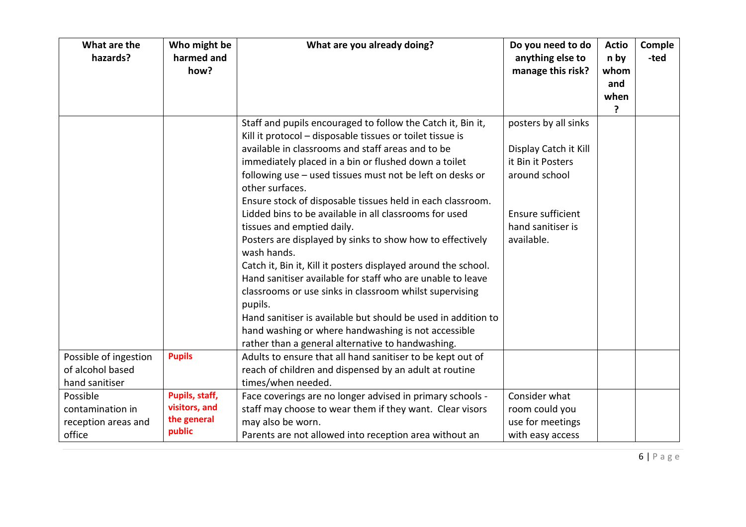| What are the<br>hazards? | Who might be<br>harmed and<br>how? | What are you already doing?                                                  | Do you need to do<br>anything else to<br>manage this risk? | <b>Actio</b><br>n by<br>whom<br>and<br>when<br>? | Comple<br>-ted |
|--------------------------|------------------------------------|------------------------------------------------------------------------------|------------------------------------------------------------|--------------------------------------------------|----------------|
|                          |                                    | Staff and pupils encouraged to follow the Catch it, Bin it,                  | posters by all sinks                                       |                                                  |                |
|                          |                                    | Kill it protocol - disposable tissues or toilet tissue is                    |                                                            |                                                  |                |
|                          |                                    | available in classrooms and staff areas and to be                            | Display Catch it Kill                                      |                                                  |                |
|                          |                                    | immediately placed in a bin or flushed down a toilet                         | it Bin it Posters                                          |                                                  |                |
|                          |                                    | following use - used tissues must not be left on desks or<br>other surfaces. | around school                                              |                                                  |                |
|                          |                                    | Ensure stock of disposable tissues held in each classroom.                   |                                                            |                                                  |                |
|                          |                                    | Lidded bins to be available in all classrooms for used                       | Ensure sufficient                                          |                                                  |                |
|                          |                                    | tissues and emptied daily.                                                   | hand sanitiser is                                          |                                                  |                |
|                          |                                    | Posters are displayed by sinks to show how to effectively<br>wash hands.     | available.                                                 |                                                  |                |
|                          |                                    | Catch it, Bin it, Kill it posters displayed around the school.               |                                                            |                                                  |                |
|                          |                                    | Hand sanitiser available for staff who are unable to leave                   |                                                            |                                                  |                |
|                          |                                    | classrooms or use sinks in classroom whilst supervising                      |                                                            |                                                  |                |
|                          |                                    | pupils.                                                                      |                                                            |                                                  |                |
|                          |                                    | Hand sanitiser is available but should be used in addition to                |                                                            |                                                  |                |
|                          |                                    | hand washing or where handwashing is not accessible                          |                                                            |                                                  |                |
|                          |                                    | rather than a general alternative to handwashing.                            |                                                            |                                                  |                |
| Possible of ingestion    | <b>Pupils</b>                      | Adults to ensure that all hand sanitiser to be kept out of                   |                                                            |                                                  |                |
| of alcohol based         |                                    | reach of children and dispensed by an adult at routine                       |                                                            |                                                  |                |
| hand sanitiser           |                                    | times/when needed.                                                           |                                                            |                                                  |                |
| Possible                 | Pupils, staff,                     | Face coverings are no longer advised in primary schools -                    | Consider what                                              |                                                  |                |
| contamination in         | visitors, and                      | staff may choose to wear them if they want. Clear visors                     | room could you                                             |                                                  |                |
| reception areas and      | the general                        | may also be worn.                                                            | use for meetings                                           |                                                  |                |
| office                   | public                             | Parents are not allowed into reception area without an                       | with easy access                                           |                                                  |                |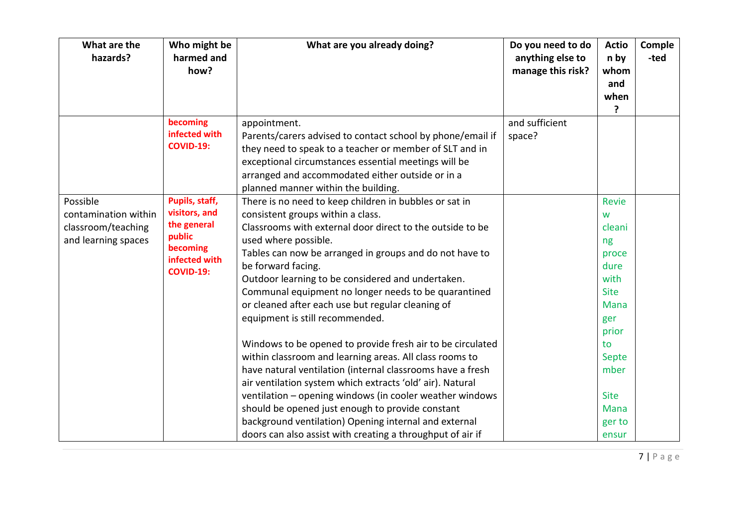| What are the<br>hazards?                                                      | Who might be<br>harmed and<br>how?                                                                        | What are you already doing?                                                                                                                                                                                                                                                                                                                                                                                                                                                                                                                                                                                                                                                                                                                                                                                                                                                                                                                                       | Do you need to do<br>anything else to<br>manage this risk? | <b>Actio</b><br>n by<br>whom<br>and<br>when<br>?                                                                                                                   | Comple<br>-ted |
|-------------------------------------------------------------------------------|-----------------------------------------------------------------------------------------------------------|-------------------------------------------------------------------------------------------------------------------------------------------------------------------------------------------------------------------------------------------------------------------------------------------------------------------------------------------------------------------------------------------------------------------------------------------------------------------------------------------------------------------------------------------------------------------------------------------------------------------------------------------------------------------------------------------------------------------------------------------------------------------------------------------------------------------------------------------------------------------------------------------------------------------------------------------------------------------|------------------------------------------------------------|--------------------------------------------------------------------------------------------------------------------------------------------------------------------|----------------|
|                                                                               | becoming<br>infected with<br><b>COVID-19:</b>                                                             | appointment.<br>Parents/carers advised to contact school by phone/email if<br>they need to speak to a teacher or member of SLT and in<br>exceptional circumstances essential meetings will be<br>arranged and accommodated either outside or in a<br>planned manner within the building.                                                                                                                                                                                                                                                                                                                                                                                                                                                                                                                                                                                                                                                                          | and sufficient<br>space?                                   |                                                                                                                                                                    |                |
| Possible<br>contamination within<br>classroom/teaching<br>and learning spaces | Pupils, staff,<br>visitors, and<br>the general<br>public<br>becoming<br>infected with<br><b>COVID-19:</b> | There is no need to keep children in bubbles or sat in<br>consistent groups within a class.<br>Classrooms with external door direct to the outside to be<br>used where possible.<br>Tables can now be arranged in groups and do not have to<br>be forward facing.<br>Outdoor learning to be considered and undertaken.<br>Communal equipment no longer needs to be quarantined<br>or cleaned after each use but regular cleaning of<br>equipment is still recommended.<br>Windows to be opened to provide fresh air to be circulated<br>within classroom and learning areas. All class rooms to<br>have natural ventilation (internal classrooms have a fresh<br>air ventilation system which extracts 'old' air). Natural<br>ventilation - opening windows (in cooler weather windows<br>should be opened just enough to provide constant<br>background ventilation) Opening internal and external<br>doors can also assist with creating a throughput of air if |                                                            | Revie<br>W<br>cleani<br>ng<br>proce<br>dure<br>with<br><b>Site</b><br>Mana<br>ger<br>prior<br>to<br>Septe<br>mber<br><b>Site</b><br><b>Mana</b><br>ger to<br>ensur |                |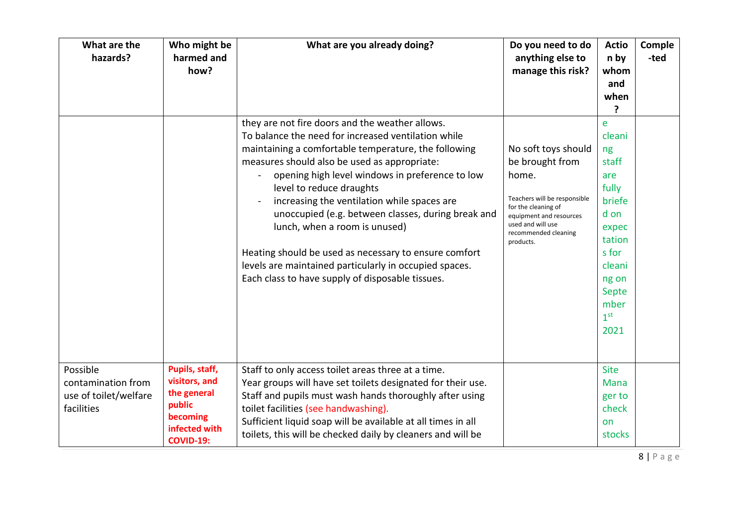| What are the<br>hazards?                                              | Who might be<br>harmed and<br>how?                                                                        | What are you already doing?                                                                                                                                                                                                                                                                                                                                                                                                                                                                                                                                                                                                  | Do you need to do<br>anything else to<br>manage this risk?                                                                                                                                  | <b>Actio</b><br>n by<br>whom<br>and<br>when<br>?                                                                                                        | Comple<br>-ted |
|-----------------------------------------------------------------------|-----------------------------------------------------------------------------------------------------------|------------------------------------------------------------------------------------------------------------------------------------------------------------------------------------------------------------------------------------------------------------------------------------------------------------------------------------------------------------------------------------------------------------------------------------------------------------------------------------------------------------------------------------------------------------------------------------------------------------------------------|---------------------------------------------------------------------------------------------------------------------------------------------------------------------------------------------|---------------------------------------------------------------------------------------------------------------------------------------------------------|----------------|
|                                                                       |                                                                                                           | they are not fire doors and the weather allows.<br>To balance the need for increased ventilation while<br>maintaining a comfortable temperature, the following<br>measures should also be used as appropriate:<br>opening high level windows in preference to low<br>$\blacksquare$<br>level to reduce draughts<br>increasing the ventilation while spaces are<br>unoccupied (e.g. between classes, during break and<br>lunch, when a room is unused)<br>Heating should be used as necessary to ensure comfort<br>levels are maintained particularly in occupied spaces.<br>Each class to have supply of disposable tissues. | No soft toys should<br>be brought from<br>home.<br>Teachers will be responsible<br>for the cleaning of<br>equipment and resources<br>used and will use<br>recommended cleaning<br>products. | e<br>cleani<br>ng<br>staff<br>are<br>fully<br>briefe<br>d on<br>expec<br>tation<br>s for<br>cleani<br>ng on<br>Septe<br>mber<br>1 <sup>st</sup><br>2021 |                |
| Possible<br>contamination from<br>use of toilet/welfare<br>facilities | Pupils, staff,<br>visitors, and<br>the general<br>public<br>becoming<br>infected with<br><b>COVID-19:</b> | Staff to only access toilet areas three at a time.<br>Year groups will have set toilets designated for their use.<br>Staff and pupils must wash hands thoroughly after using<br>toilet facilities (see handwashing).<br>Sufficient liquid soap will be available at all times in all<br>toilets, this will be checked daily by cleaners and will be                                                                                                                                                                                                                                                                          |                                                                                                                                                                                             | <b>Site</b><br>Mana<br>ger to<br>check<br>on<br>stocks                                                                                                  |                |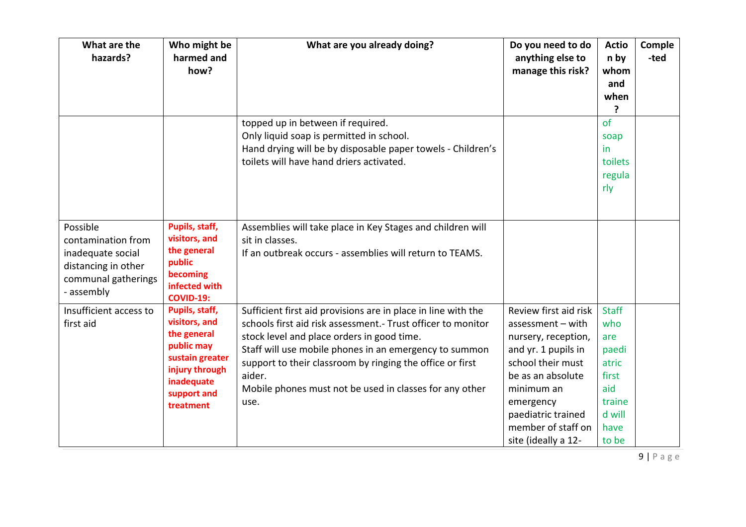| What are the<br>hazards?                                                                                        | Who might be<br>harmed and<br>how?                                                                                                          | What are you already doing?                                                                                                                                                                                                                                                                                                                                                      | Do you need to do<br>anything else to<br>manage this risk?                                                                                                                                                                         | <b>Actio</b><br>n by<br>whom<br>and<br>when<br>7                                                  | Comple<br>-ted |
|-----------------------------------------------------------------------------------------------------------------|---------------------------------------------------------------------------------------------------------------------------------------------|----------------------------------------------------------------------------------------------------------------------------------------------------------------------------------------------------------------------------------------------------------------------------------------------------------------------------------------------------------------------------------|------------------------------------------------------------------------------------------------------------------------------------------------------------------------------------------------------------------------------------|---------------------------------------------------------------------------------------------------|----------------|
|                                                                                                                 |                                                                                                                                             | topped up in between if required.<br>Only liquid soap is permitted in school.<br>Hand drying will be by disposable paper towels - Children's<br>toilets will have hand driers activated.                                                                                                                                                                                         |                                                                                                                                                                                                                                    | of<br>soap<br>in<br>toilets<br>regula<br>rly                                                      |                |
| Possible<br>contamination from<br>inadequate social<br>distancing in other<br>communal gatherings<br>- assembly | Pupils, staff,<br>visitors, and<br>the general<br>public<br>becoming<br>infected with<br><b>COVID-19:</b>                                   | Assemblies will take place in Key Stages and children will<br>sit in classes.<br>If an outbreak occurs - assemblies will return to TEAMS.                                                                                                                                                                                                                                        |                                                                                                                                                                                                                                    |                                                                                                   |                |
| Insufficient access to<br>first aid                                                                             | Pupils, staff,<br>visitors, and<br>the general<br>public may<br>sustain greater<br>injury through<br>inadequate<br>support and<br>treatment | Sufficient first aid provisions are in place in line with the<br>schools first aid risk assessment. - Trust officer to monitor<br>stock level and place orders in good time.<br>Staff will use mobile phones in an emergency to summon<br>support to their classroom by ringing the office or first<br>aider.<br>Mobile phones must not be used in classes for any other<br>use. | Review first aid risk<br>$assessment - with$<br>nursery, reception,<br>and yr. 1 pupils in<br>school their must<br>be as an absolute<br>minimum an<br>emergency<br>paediatric trained<br>member of staff on<br>site (ideally a 12- | <b>Staff</b><br>who<br>are<br>paedi<br>atric<br>first<br>aid<br>traine<br>d will<br>have<br>to be |                |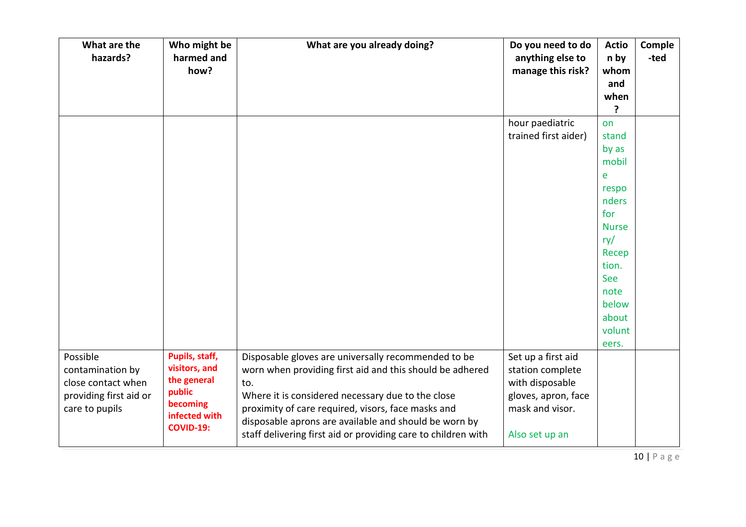| What are the<br>hazards? | Who might be<br>harmed and | What are you already doing?                                   | Do you need to do<br>anything else to | <b>Actio</b><br>n by | Comple<br>-ted |
|--------------------------|----------------------------|---------------------------------------------------------------|---------------------------------------|----------------------|----------------|
|                          | how?                       |                                                               | manage this risk?                     | whom                 |                |
|                          |                            |                                                               |                                       | and                  |                |
|                          |                            |                                                               |                                       | when                 |                |
|                          |                            |                                                               |                                       | ?                    |                |
|                          |                            |                                                               | hour paediatric                       | on                   |                |
|                          |                            |                                                               | trained first aider)                  | stand                |                |
|                          |                            |                                                               |                                       | by as                |                |
|                          |                            |                                                               |                                       | mobil                |                |
|                          |                            |                                                               |                                       | e                    |                |
|                          |                            |                                                               |                                       | respo                |                |
|                          |                            |                                                               |                                       | nders                |                |
|                          |                            |                                                               |                                       | for<br><b>Nurse</b>  |                |
|                          |                            |                                                               |                                       | ry/                  |                |
|                          |                            |                                                               |                                       | Recep                |                |
|                          |                            |                                                               |                                       | tion.                |                |
|                          |                            |                                                               |                                       | See                  |                |
|                          |                            |                                                               |                                       | note                 |                |
|                          |                            |                                                               |                                       | below                |                |
|                          |                            |                                                               |                                       | about                |                |
|                          |                            |                                                               |                                       | volunt               |                |
|                          |                            |                                                               |                                       | eers.                |                |
| Possible                 | Pupils, staff,             | Disposable gloves are universally recommended to be           | Set up a first aid                    |                      |                |
| contamination by         | visitors, and              | worn when providing first aid and this should be adhered      | station complete                      |                      |                |
| close contact when       | the general<br>public      | to.                                                           | with disposable                       |                      |                |
| providing first aid or   | becoming                   | Where it is considered necessary due to the close             | gloves, apron, face                   |                      |                |
| care to pupils           | infected with              | proximity of care required, visors, face masks and            | mask and visor.                       |                      |                |
|                          | <b>COVID-19:</b>           | disposable aprons are available and should be worn by         |                                       |                      |                |
|                          |                            | staff delivering first aid or providing care to children with | Also set up an                        |                      |                |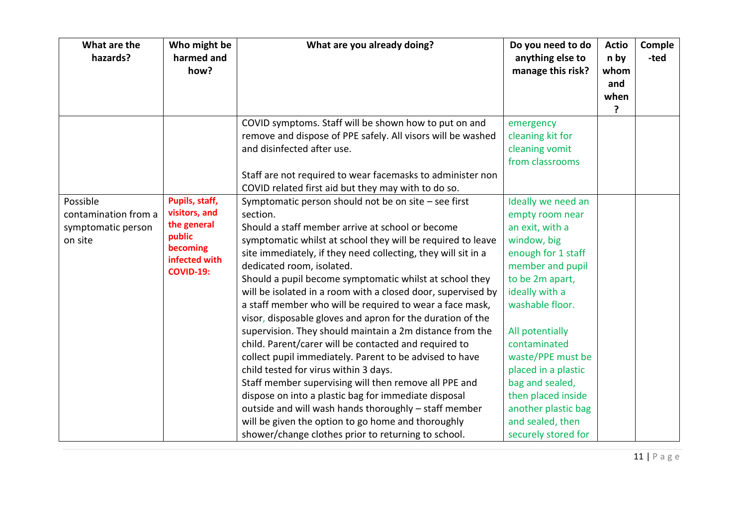| What are the<br>hazards? | Who might be<br>harmed and<br>how? | What are you already doing?                                   | Do you need to do<br>anything else to<br>manage this risk? | <b>Actio</b><br>n by<br>whom<br>and<br>when<br>? | Comple<br>-ted |
|--------------------------|------------------------------------|---------------------------------------------------------------|------------------------------------------------------------|--------------------------------------------------|----------------|
|                          |                                    | COVID symptoms. Staff will be shown how to put on and         | emergency                                                  |                                                  |                |
|                          |                                    | remove and dispose of PPE safely. All visors will be washed   | cleaning kit for                                           |                                                  |                |
|                          |                                    | and disinfected after use.                                    | cleaning vomit                                             |                                                  |                |
|                          |                                    |                                                               | from classrooms                                            |                                                  |                |
|                          |                                    | Staff are not required to wear facemasks to administer non    |                                                            |                                                  |                |
|                          |                                    | COVID related first aid but they may with to do so.           |                                                            |                                                  |                |
| Possible                 | Pupils, staff,                     | Symptomatic person should not be on site - see first          | Ideally we need an                                         |                                                  |                |
| contamination from a     | visitors, and                      | section.                                                      | empty room near                                            |                                                  |                |
| symptomatic person       | the general                        | Should a staff member arrive at school or become              | an exit, with a                                            |                                                  |                |
| on site                  | public<br>becoming                 | symptomatic whilst at school they will be required to leave   | window, big                                                |                                                  |                |
|                          | infected with                      | site immediately, if they need collecting, they will sit in a | enough for 1 staff                                         |                                                  |                |
|                          | <b>COVID-19:</b>                   | dedicated room, isolated.                                     | member and pupil                                           |                                                  |                |
|                          |                                    | Should a pupil become symptomatic whilst at school they       | to be 2m apart,                                            |                                                  |                |
|                          |                                    | will be isolated in a room with a closed door, supervised by  | ideally with a                                             |                                                  |                |
|                          |                                    | a staff member who will be required to wear a face mask,      | washable floor.                                            |                                                  |                |
|                          |                                    | visor, disposable gloves and apron for the duration of the    |                                                            |                                                  |                |
|                          |                                    | supervision. They should maintain a 2m distance from the      | All potentially                                            |                                                  |                |
|                          |                                    | child. Parent/carer will be contacted and required to         | contaminated                                               |                                                  |                |
|                          |                                    | collect pupil immediately. Parent to be advised to have       | waste/PPE must be                                          |                                                  |                |
|                          |                                    | child tested for virus within 3 days.                         | placed in a plastic                                        |                                                  |                |
|                          |                                    | Staff member supervising will then remove all PPE and         | bag and sealed,                                            |                                                  |                |
|                          |                                    | dispose on into a plastic bag for immediate disposal          | then placed inside                                         |                                                  |                |
|                          |                                    | outside and will wash hands thoroughly - staff member         | another plastic bag                                        |                                                  |                |
|                          |                                    | will be given the option to go home and thoroughly            | and sealed, then                                           |                                                  |                |
|                          |                                    | shower/change clothes prior to returning to school.           | securely stored for                                        |                                                  |                |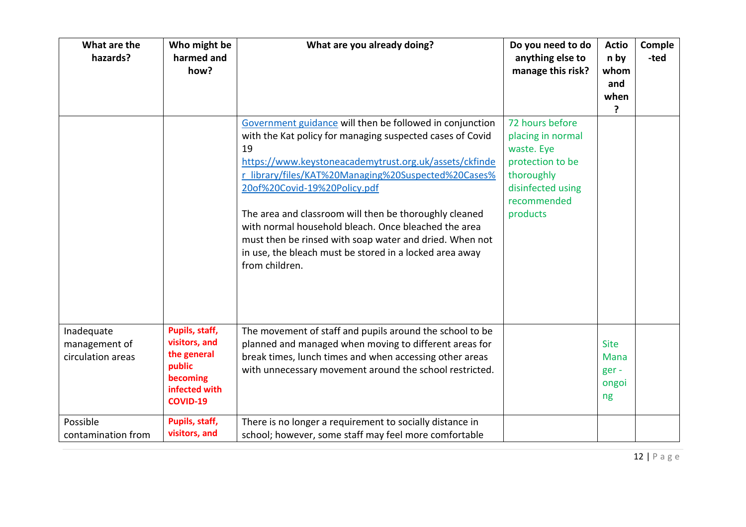| What are the<br>hazards?                         | Who might be<br>harmed and<br>how?                                                                       | What are you already doing?                                                                                                                                                                                                                                                                                                                                                                                                                                                                                                            | Do you need to do<br>anything else to<br>manage this risk?                                                                           | <b>Actio</b><br>n by<br>whom<br>and<br>when<br>? | Comple<br>-ted |
|--------------------------------------------------|----------------------------------------------------------------------------------------------------------|----------------------------------------------------------------------------------------------------------------------------------------------------------------------------------------------------------------------------------------------------------------------------------------------------------------------------------------------------------------------------------------------------------------------------------------------------------------------------------------------------------------------------------------|--------------------------------------------------------------------------------------------------------------------------------------|--------------------------------------------------|----------------|
|                                                  |                                                                                                          | Government guidance will then be followed in conjunction<br>with the Kat policy for managing suspected cases of Covid<br>19<br>https://www.keystoneacademytrust.org.uk/assets/ckfinde<br>r library/files/KAT%20Managing%20Suspected%20Cases%<br>20of%20Covid-19%20Policy.pdf<br>The area and classroom will then be thoroughly cleaned<br>with normal household bleach. Once bleached the area<br>must then be rinsed with soap water and dried. When not<br>in use, the bleach must be stored in a locked area away<br>from children. | 72 hours before<br>placing in normal<br>waste. Eye<br>protection to be<br>thoroughly<br>disinfected using<br>recommended<br>products |                                                  |                |
| Inadequate<br>management of<br>circulation areas | Pupils, staff,<br>visitors, and<br>the general<br>public<br>becoming<br>infected with<br><b>COVID-19</b> | The movement of staff and pupils around the school to be<br>planned and managed when moving to different areas for<br>break times, lunch times and when accessing other areas<br>with unnecessary movement around the school restricted.                                                                                                                                                                                                                                                                                               |                                                                                                                                      | <b>Site</b><br>Mana<br>ger-<br>ongoi<br>ng       |                |
| Possible<br>contamination from                   | Pupils, staff,<br>visitors, and                                                                          | There is no longer a requirement to socially distance in<br>school; however, some staff may feel more comfortable                                                                                                                                                                                                                                                                                                                                                                                                                      |                                                                                                                                      |                                                  |                |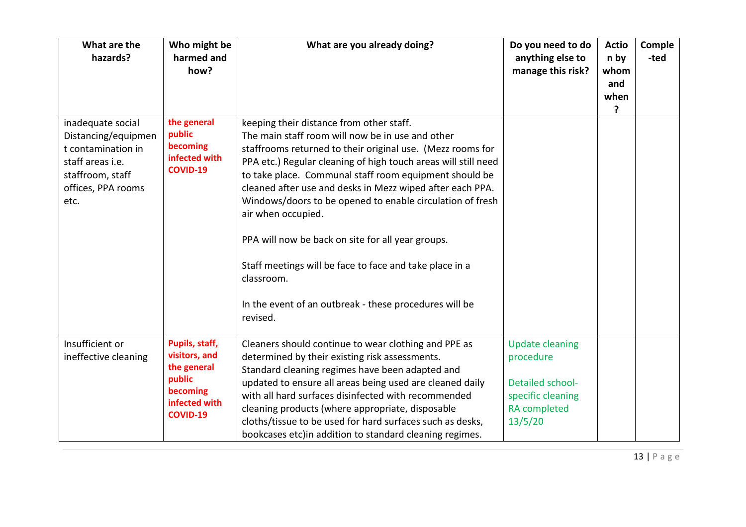| What are the<br>hazards?                                                                                                             | Who might be<br>harmed and<br>how?                                                                       | What are you already doing?                                                                                                                                                                                                                                                                                                                                                                                                                                                                                                                                                                                                                | Do you need to do<br>anything else to<br>manage this risk?                                                     | <b>Actio</b><br>n by<br>whom<br>and<br>when<br>? | Comple<br>-ted |
|--------------------------------------------------------------------------------------------------------------------------------------|----------------------------------------------------------------------------------------------------------|--------------------------------------------------------------------------------------------------------------------------------------------------------------------------------------------------------------------------------------------------------------------------------------------------------------------------------------------------------------------------------------------------------------------------------------------------------------------------------------------------------------------------------------------------------------------------------------------------------------------------------------------|----------------------------------------------------------------------------------------------------------------|--------------------------------------------------|----------------|
| inadequate social<br>Distancing/equipmen<br>t contamination in<br>staff areas i.e.<br>staffroom, staff<br>offices, PPA rooms<br>etc. | the general<br>public<br>becoming<br>infected with<br><b>COVID-19</b>                                    | keeping their distance from other staff.<br>The main staff room will now be in use and other<br>staffrooms returned to their original use. (Mezz rooms for<br>PPA etc.) Regular cleaning of high touch areas will still need<br>to take place. Communal staff room equipment should be<br>cleaned after use and desks in Mezz wiped after each PPA.<br>Windows/doors to be opened to enable circulation of fresh<br>air when occupied.<br>PPA will now be back on site for all year groups.<br>Staff meetings will be face to face and take place in a<br>classroom.<br>In the event of an outbreak - these procedures will be<br>revised. |                                                                                                                |                                                  |                |
| Insufficient or<br>ineffective cleaning                                                                                              | Pupils, staff,<br>visitors, and<br>the general<br>public<br>becoming<br>infected with<br><b>COVID-19</b> | Cleaners should continue to wear clothing and PPE as<br>determined by their existing risk assessments.<br>Standard cleaning regimes have been adapted and<br>updated to ensure all areas being used are cleaned daily<br>with all hard surfaces disinfected with recommended<br>cleaning products (where appropriate, disposable<br>cloths/tissue to be used for hard surfaces such as desks,<br>bookcases etc) in addition to standard cleaning regimes.                                                                                                                                                                                  | <b>Update cleaning</b><br>procedure<br>Detailed school-<br>specific cleaning<br><b>RA</b> completed<br>13/5/20 |                                                  |                |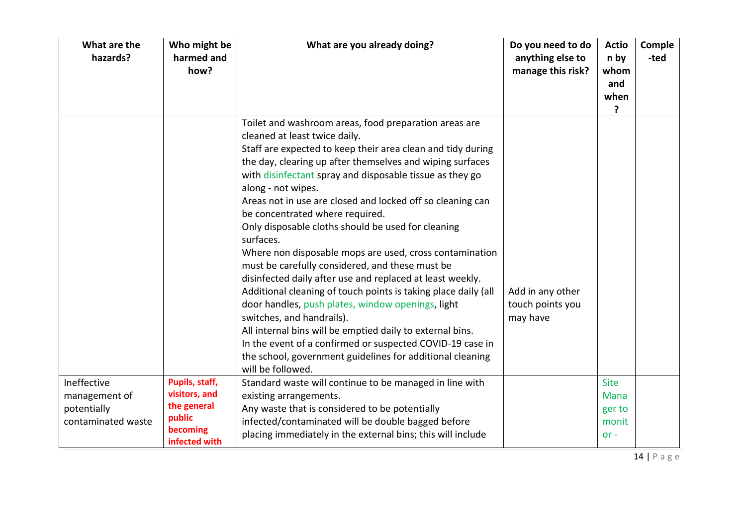| What are the<br>hazards?                                          | Who might be<br>harmed and<br>how?                                                    | What are you already doing?                                                                                                                                                                                                                                                                                                                                                                                                                                                                                                                                                                                                                                                                                                                                                                                                                                                                                                                                                                                         | Do you need to do<br>anything else to<br>manage this risk? | <b>Actio</b><br>n by<br>whom<br>and<br>when<br>?        | Comple<br>-ted |
|-------------------------------------------------------------------|---------------------------------------------------------------------------------------|---------------------------------------------------------------------------------------------------------------------------------------------------------------------------------------------------------------------------------------------------------------------------------------------------------------------------------------------------------------------------------------------------------------------------------------------------------------------------------------------------------------------------------------------------------------------------------------------------------------------------------------------------------------------------------------------------------------------------------------------------------------------------------------------------------------------------------------------------------------------------------------------------------------------------------------------------------------------------------------------------------------------|------------------------------------------------------------|---------------------------------------------------------|----------------|
|                                                                   |                                                                                       | Toilet and washroom areas, food preparation areas are<br>cleaned at least twice daily.<br>Staff are expected to keep their area clean and tidy during<br>the day, clearing up after themselves and wiping surfaces<br>with disinfectant spray and disposable tissue as they go<br>along - not wipes.<br>Areas not in use are closed and locked off so cleaning can<br>be concentrated where required.<br>Only disposable cloths should be used for cleaning<br>surfaces.<br>Where non disposable mops are used, cross contamination<br>must be carefully considered, and these must be<br>disinfected daily after use and replaced at least weekly.<br>Additional cleaning of touch points is taking place daily (all<br>door handles, push plates, window openings, light<br>switches, and handrails).<br>All internal bins will be emptied daily to external bins.<br>In the event of a confirmed or suspected COVID-19 case in<br>the school, government guidelines for additional cleaning<br>will be followed. | Add in any other<br>touch points you<br>may have           |                                                         |                |
| Ineffective<br>management of<br>potentially<br>contaminated waste | Pupils, staff,<br>visitors, and<br>the general<br>public<br>becoming<br>infected with | Standard waste will continue to be managed in line with<br>existing arrangements.<br>Any waste that is considered to be potentially<br>infected/contaminated will be double bagged before<br>placing immediately in the external bins; this will include                                                                                                                                                                                                                                                                                                                                                                                                                                                                                                                                                                                                                                                                                                                                                            |                                                            | <b>Site</b><br><b>Mana</b><br>ger to<br>monit<br>$or -$ |                |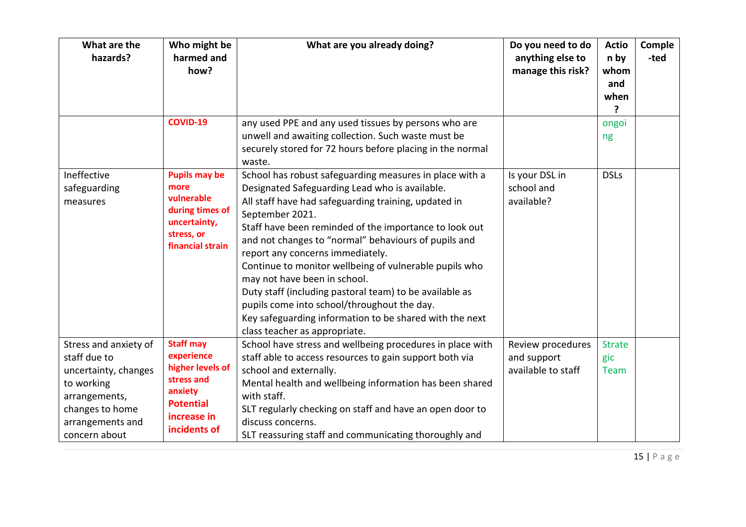| What are the<br>hazards?                                                                                                                             | Who might be<br>harmed and<br>how?                                                                                             | What are you already doing?                                                                                                                                                                                                                                                                                                                                                                                                                                                                                                                                                                                                                | Do you need to do<br>anything else to<br>manage this risk? | <b>Actio</b><br>n by<br>whom<br>and<br>when<br>? | Comple<br>-ted |
|------------------------------------------------------------------------------------------------------------------------------------------------------|--------------------------------------------------------------------------------------------------------------------------------|--------------------------------------------------------------------------------------------------------------------------------------------------------------------------------------------------------------------------------------------------------------------------------------------------------------------------------------------------------------------------------------------------------------------------------------------------------------------------------------------------------------------------------------------------------------------------------------------------------------------------------------------|------------------------------------------------------------|--------------------------------------------------|----------------|
|                                                                                                                                                      | <b>COVID-19</b>                                                                                                                | any used PPE and any used tissues by persons who are<br>unwell and awaiting collection. Such waste must be<br>securely stored for 72 hours before placing in the normal<br>waste.                                                                                                                                                                                                                                                                                                                                                                                                                                                          |                                                            | ongoi<br>ng                                      |                |
| Ineffective<br>safeguarding<br>measures                                                                                                              | <b>Pupils may be</b><br>more<br>vulnerable<br>during times of<br>uncertainty,<br>stress, or<br>financial strain                | School has robust safeguarding measures in place with a<br>Designated Safeguarding Lead who is available.<br>All staff have had safeguarding training, updated in<br>September 2021.<br>Staff have been reminded of the importance to look out<br>and not changes to "normal" behaviours of pupils and<br>report any concerns immediately.<br>Continue to monitor wellbeing of vulnerable pupils who<br>may not have been in school.<br>Duty staff (including pastoral team) to be available as<br>pupils come into school/throughout the day.<br>Key safeguarding information to be shared with the next<br>class teacher as appropriate. | Is your DSL in<br>school and<br>available?                 | <b>DSLs</b>                                      |                |
| Stress and anxiety of<br>staff due to<br>uncertainty, changes<br>to working<br>arrangements,<br>changes to home<br>arrangements and<br>concern about | <b>Staff may</b><br>experience<br>higher levels of<br>stress and<br>anxiety<br><b>Potential</b><br>increase in<br>incidents of | School have stress and wellbeing procedures in place with<br>staff able to access resources to gain support both via<br>school and externally.<br>Mental health and wellbeing information has been shared<br>with staff.<br>SLT regularly checking on staff and have an open door to<br>discuss concerns.<br>SLT reassuring staff and communicating thoroughly and                                                                                                                                                                                                                                                                         | Review procedures<br>and support<br>available to staff     | <b>Strate</b><br>gic<br>Team                     |                |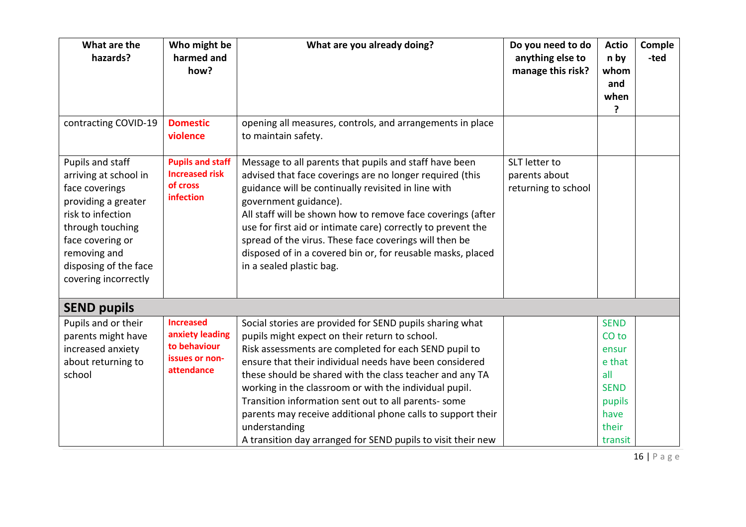| What are the<br>hazards?                                                                                                                                                                                         | Who might be<br>harmed and<br>how?                                                  | What are you already doing?                                                                                                                                                                                                                                                                                                                                                                                                                                                                                                                                  | Do you need to do<br>anything else to<br>manage this risk? | <b>Actio</b><br>n by<br>whom<br>and<br>when<br>ŗ                                                               | Comple<br>-ted |
|------------------------------------------------------------------------------------------------------------------------------------------------------------------------------------------------------------------|-------------------------------------------------------------------------------------|--------------------------------------------------------------------------------------------------------------------------------------------------------------------------------------------------------------------------------------------------------------------------------------------------------------------------------------------------------------------------------------------------------------------------------------------------------------------------------------------------------------------------------------------------------------|------------------------------------------------------------|----------------------------------------------------------------------------------------------------------------|----------------|
| contracting COVID-19                                                                                                                                                                                             | <b>Domestic</b><br>violence                                                         | opening all measures, controls, and arrangements in place<br>to maintain safety.                                                                                                                                                                                                                                                                                                                                                                                                                                                                             |                                                            |                                                                                                                |                |
| Pupils and staff<br>arriving at school in<br>face coverings<br>providing a greater<br>risk to infection<br>through touching<br>face covering or<br>removing and<br>disposing of the face<br>covering incorrectly | <b>Pupils and staff</b><br><b>Increased risk</b><br>of cross<br>infection           | Message to all parents that pupils and staff have been<br>advised that face coverings are no longer required (this<br>guidance will be continually revisited in line with<br>government guidance).<br>All staff will be shown how to remove face coverings (after<br>use for first aid or intimate care) correctly to prevent the<br>spread of the virus. These face coverings will then be<br>disposed of in a covered bin or, for reusable masks, placed<br>in a sealed plastic bag.                                                                       | SLT letter to<br>parents about<br>returning to school      |                                                                                                                |                |
| <b>SEND pupils</b>                                                                                                                                                                                               |                                                                                     |                                                                                                                                                                                                                                                                                                                                                                                                                                                                                                                                                              |                                                            |                                                                                                                |                |
| Pupils and or their<br>parents might have<br>increased anxiety<br>about returning to<br>school                                                                                                                   | <b>Increased</b><br>anxiety leading<br>to behaviour<br>issues or non-<br>attendance | Social stories are provided for SEND pupils sharing what<br>pupils might expect on their return to school.<br>Risk assessments are completed for each SEND pupil to<br>ensure that their individual needs have been considered<br>these should be shared with the class teacher and any TA<br>working in the classroom or with the individual pupil.<br>Transition information sent out to all parents- some<br>parents may receive additional phone calls to support their<br>understanding<br>A transition day arranged for SEND pupils to visit their new |                                                            | <b>SEND</b><br>CO <sub>to</sub><br>ensur<br>e that<br>all<br><b>SEND</b><br>pupils<br>have<br>their<br>transit |                |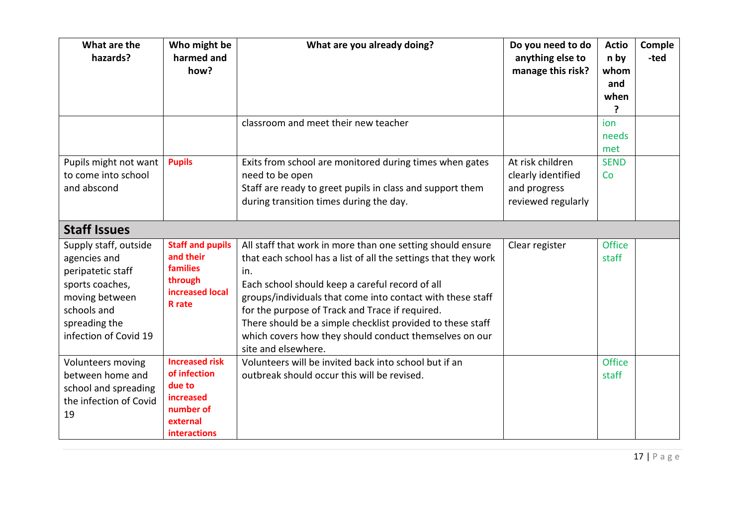| What are the<br>hazards?                                                                                                                                 | Who might be<br>harmed and<br>how?                                                                                  | What are you already doing?                                                                                                                                                                                                                                                                                                                                                                                                                            | Do you need to do<br>anything else to<br>manage this risk?                   | <b>Actio</b><br>n by<br>whom<br>and<br>when<br>7 | Comple<br>-ted |
|----------------------------------------------------------------------------------------------------------------------------------------------------------|---------------------------------------------------------------------------------------------------------------------|--------------------------------------------------------------------------------------------------------------------------------------------------------------------------------------------------------------------------------------------------------------------------------------------------------------------------------------------------------------------------------------------------------------------------------------------------------|------------------------------------------------------------------------------|--------------------------------------------------|----------------|
|                                                                                                                                                          |                                                                                                                     | classroom and meet their new teacher                                                                                                                                                                                                                                                                                                                                                                                                                   |                                                                              | ion<br>needs<br>met                              |                |
| Pupils might not want<br>to come into school<br>and abscond                                                                                              | <b>Pupils</b>                                                                                                       | Exits from school are monitored during times when gates<br>need to be open<br>Staff are ready to greet pupils in class and support them<br>during transition times during the day.                                                                                                                                                                                                                                                                     | At risk children<br>clearly identified<br>and progress<br>reviewed regularly | <b>SEND</b><br>Co                                |                |
| <b>Staff Issues</b>                                                                                                                                      |                                                                                                                     |                                                                                                                                                                                                                                                                                                                                                                                                                                                        |                                                                              |                                                  |                |
| Supply staff, outside<br>agencies and<br>peripatetic staff<br>sports coaches,<br>moving between<br>schools and<br>spreading the<br>infection of Covid 19 | <b>Staff and pupils</b><br>and their<br>families<br>through<br>increased local<br><b>R</b> rate                     | All staff that work in more than one setting should ensure<br>that each school has a list of all the settings that they work<br>in.<br>Each school should keep a careful record of all<br>groups/individuals that come into contact with these staff<br>for the purpose of Track and Trace if required.<br>There should be a simple checklist provided to these staff<br>which covers how they should conduct themselves on our<br>site and elsewhere. | Clear register                                                               | <b>Office</b><br>staff                           |                |
| Volunteers moving<br>between home and<br>school and spreading<br>the infection of Covid<br>19                                                            | <b>Increased risk</b><br>of infection<br>due to<br><b>increased</b><br>number of<br>external<br><b>interactions</b> | Volunteers will be invited back into school but if an<br>outbreak should occur this will be revised.                                                                                                                                                                                                                                                                                                                                                   |                                                                              | Office<br>staff                                  |                |